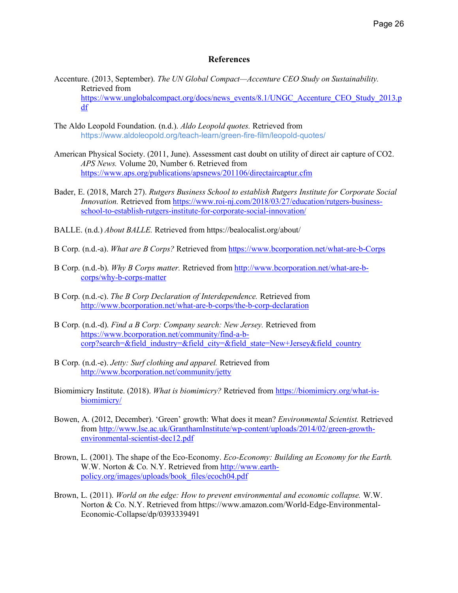## **References**

- Accenture. (2013, September). *The UN Global Compact—Accenture CEO Study on Sustainability.* Retrieved from https://www.unglobalcompact.org/docs/news\_events/8.1/UNGC\_Accenture\_CEO\_Study\_2013.p df
- The Aldo Leopold Foundation. (n.d.). *Aldo Leopold quotes.* Retrieved from https://www.aldoleopold.org/teach-learn/green-fire-film/leopold-quotes/
- American Physical Society. (2011, June). Assessment cast doubt on utility of direct air capture of CO2. *APS News.* Volume 20, Number 6. Retrieved from https://www.aps.org/publications/apsnews/201106/directaircaptur.cfm
- Bader, E. (2018, March 27). *Rutgers Business School to establish Rutgers Institute for Corporate Social Innovation.* Retrieved from https://www.roi-nj.com/2018/03/27/education/rutgers-businessschool-to-establish-rutgers-institute-for-corporate-social-innovation/
- BALLE. (n.d.) *About BALLE.* Retrieved from https://bealocalist.org/about/
- B Corp. (n.d.-a). *What are B Corps?* Retrieved from https://www.bcorporation.net/what-are-b-Corps
- B Corp. (n.d.-b). *Why B Corps matter.* Retrieved from http://www.bcorporation.net/what-are-bcorps/why-b-corps-matter
- B Corp. (n.d.-c). *The B Corp Declaration of Interdependence.* Retrieved from http://www.bcorporation.net/what-are-b-corps/the-b-corp-declaration
- B Corp. (n.d.-d). *Find a B Corp: Company search: New Jersey.* Retrieved from https://www.bcorporation.net/community/find-a-bcorp?search=&field\_industry=&field\_city=&field\_state=New+Jersey&field\_country
- B Corp. (n.d.-e). *Jetty: Surf clothing and apparel.* Retrieved from http://www.bcorporation.net/community/jetty
- Biomimicry Institute. (2018). *What is biomimicry?* Retrieved from https://biomimicry.org/what-isbiomimicry/
- Bowen, A. (2012, December). 'Green' growth: What does it mean? *Environmental Scientist.* Retrieved from http://www.lse.ac.uk/GranthamInstitute/wp-content/uploads/2014/02/green-growthenvironmental-scientist-dec12.pdf
- Brown, L. (2001). The shape of the Eco-Economy. *Eco-Economy: Building an Economy for the Earth.*  W.W. Norton & Co. N.Y. Retrieved from http://www.earthpolicy.org/images/uploads/book\_files/ecoch04.pdf
- Brown, L. (2011). *World on the edge: How to prevent environmental and economic collapse.* W.W. Norton & Co. N.Y. Retrieved from https://www.amazon.com/World-Edge-Environmental-Economic-Collapse/dp/0393339491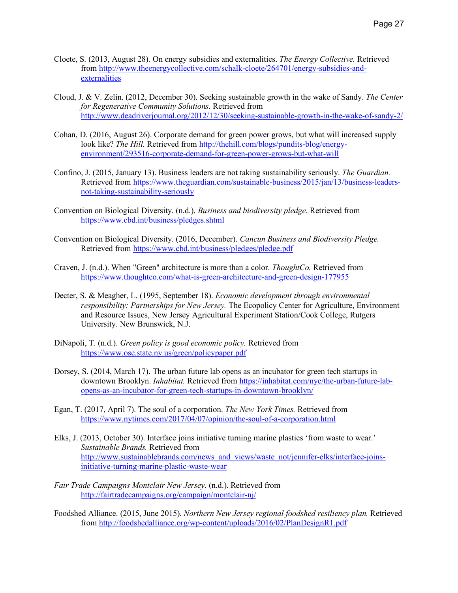- Cloete, S. (2013, August 28). On energy subsidies and externalities. *The Energy Collective.* Retrieved from http://www.theenergycollective.com/schalk-cloete/264701/energy-subsidies-andexternalities
- Cloud, J. & V. Zelin. (2012, December 30). Seeking sustainable growth in the wake of Sandy. *The Center for Regenerative Community Solutions.* Retrieved from http://www.deadriverjournal.org/2012/12/30/seeking-sustainable-growth-in-the-wake-of-sandy-2/
- Cohan, D. (2016, August 26). Corporate demand for green power grows, but what will increased supply look like? *The Hill.* Retrieved from http://thehill.com/blogs/pundits-blog/energyenvironment/293516-corporate-demand-for-green-power-grows-but-what-will
- Confino, J. (2015, January 13). Business leaders are not taking sustainability seriously. *The Guardian.*  Retrieved from https://www.theguardian.com/sustainable-business/2015/jan/13/business-leadersnot-taking-sustainability-seriously
- Convention on Biological Diversity. (n.d.). *Business and biodiversity pledge.* Retrieved from https://www.cbd.int/business/pledges.shtml
- Convention on Biological Diversity. (2016, December). *Cancun Business and Biodiversity Pledge.*  Retrieved from https://www.cbd.int/business/pledges/pledge.pdf
- Craven, J. (n.d.). When "Green" architecture is more than a color. *ThoughtCo.* Retrieved from https://www.thoughtco.com/what-is-green-architecture-and-green-design-177955
- Decter, S. & Meagher, L. (1995, September 18). *Economic development through environmental responsibility: Partnerships for New Jersey.* The Ecopolicy Center for Agriculture, Environment and Resource Issues, New Jersey Agricultural Experiment Station/Cook College, Rutgers University. New Brunswick, N.J.
- DiNapoli, T. (n.d.). *Green policy is good economic policy.* Retrieved from https://www.osc.state.ny.us/green/policypaper.pdf
- Dorsey, S. (2014, March 17). The urban future lab opens as an incubator for green tech startups in downtown Brooklyn. *Inhabitat.* Retrieved from https://inhabitat.com/nyc/the-urban-future-labopens-as-an-incubator-for-green-tech-startups-in-downtown-brooklyn/
- Egan, T. (2017, April 7). The soul of a corporation. *The New York Times.* Retrieved from https://www.nytimes.com/2017/04/07/opinion/the-soul-of-a-corporation.html
- Elks, J. (2013, October 30). Interface joins initiative turning marine plastics 'from waste to wear.' *Sustainable Brands.* Retrieved from http://www.sustainablebrands.com/news\_and\_views/waste\_not/jennifer-elks/interface-joinsinitiative-turning-marine-plastic-waste-wear
- *Fair Trade Campaigns Montclair New Jersey*. (n.d.). Retrieved from http://fairtradecampaigns.org/campaign/montclair-nj/
- Foodshed Alliance. (2015, June 2015). *Northern New Jersey regional foodshed resiliency plan.* Retrieved from http://foodshedalliance.org/wp-content/uploads/2016/02/PlanDesignR1.pdf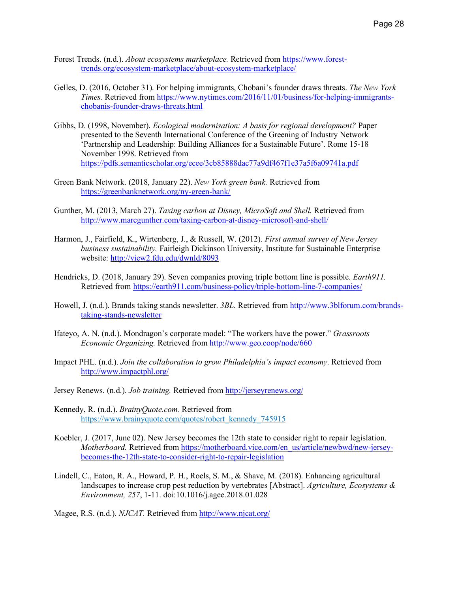- Forest Trends. (n.d.). *About ecosystems marketplace.* Retrieved from https://www.foresttrends.org/ecosystem-marketplace/about-ecosystem-marketplace/
- Gelles, D. (2016, October 31). For helping immigrants, Chobani's founder draws threats. *The New York Times.* Retrieved from https://www.nytimes.com/2016/11/01/business/for-helping-immigrantschobanis-founder-draws-threats.html
- Gibbs, D. (1998, November). *Ecological modernisation: A basis for regional development?* Paper presented to the Seventh International Conference of the Greening of Industry Network 'Partnership and Leadership: Building Alliances for a Sustainable Future'. Rome 15-18 November 1998. Retrieved from https://pdfs.semanticscholar.org/ecee/3cb85888dac77a9df467f1e37a5f6a09741a.pdf
- Green Bank Network. (2018, January 22). *New York green bank.* Retrieved from https://greenbanknetwork.org/ny-green-bank/
- Gunther, M. (2013, March 27). *Taxing carbon at Disney, MicroSoft and Shell.* Retrieved from http://www.marcgunther.com/taxing-carbon-at-disney-microsoft-and-shell/
- Harmon, J., Fairfield, K., Wirtenberg, J., & Russell, W. (2012). *First annual survey of New Jersey business sustainability.* Fairleigh Dickinson University, Institute for Sustainable Enterprise website: http://view2.fdu.edu/dwnld/8093
- Hendricks, D. (2018, January 29). Seven companies proving triple bottom line is possible. *Earth911.* Retrieved from https://earth911.com/business-policy/triple-bottom-line-7-companies/
- Howell, J. (n.d.). Brands taking stands newsletter. *3BL.* Retrieved from http://www.3blforum.com/brandstaking-stands-newsletter
- Ifateyo, A. N. (n.d.). Mondragon's corporate model: "The workers have the power." *Grassroots Economic Organizing.* Retrieved from http://www.geo.coop/node/660
- Impact PHL. (n.d.). *Join the collaboration to grow Philadelphia's impact economy*. Retrieved from http://www.impactphl.org/
- Jersey Renews. (n.d.). *Job training.* Retrieved from http://jerseyrenews.org/
- Kennedy, R. (n.d.). *BrainyQuote.com.* Retrieved from https://www.brainyquote.com/quotes/robert\_kennedy\_745915
- Koebler, J. (2017, June 02). New Jersey becomes the 12th state to consider right to repair legislation. *Motherboard.* Retrieved from https://motherboard.vice.com/en\_us/article/newbwd/new-jerseybecomes-the-12th-state-to-consider-right-to-repair-legislation
- Lindell, C., Eaton, R. A., Howard, P. H., Roels, S. M., & Shave, M. (2018). Enhancing agricultural landscapes to increase crop pest reduction by vertebrates [Abstract]. *Agriculture, Ecosystems & Environment, 257*, 1-11. doi:10.1016/j.agee.2018.01.028

Magee, R.S. (n.d.). *NJCAT.* Retrieved from http://www.njcat.org/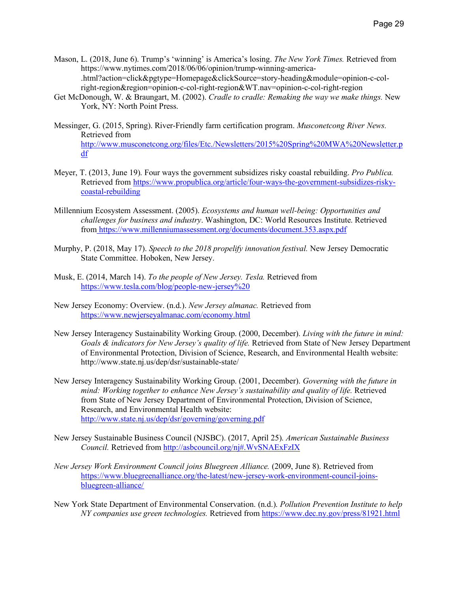- Mason, L. (2018, June 6). Trump's 'winning' is America's losing. *The New York Times.* Retrieved from https://www.nytimes.com/2018/06/06/opinion/trump-winning-america- .html?action=click&pgtype=Homepage&clickSource=story-heading&module=opinion-c-colright-region&region=opinion-c-col-right-region&WT.nav=opinion-c-col-right-region
- Get McDonough, W. & Braungart, M. (2002). *Cradle to cradle: Remaking the way we make things.* New York, NY: North Point Press.
- Messinger, G. (2015, Spring). River-Friendly farm certification program. *Musconetcong River News.*  Retrieved from http://www.musconetcong.org/files/Etc./Newsletters/2015%20Spring%20MWA%20Newsletter.p df
- Meyer, T. (2013, June 19). Four ways the government subsidizes risky coastal rebuilding. *Pro Publica.*  Retrieved from https://www.propublica.org/article/four-ways-the-government-subsidizes-riskycoastal-rebuilding
- Millennium Ecosystem Assessment. (2005). *Ecosystems and human well-being: Opportunities and challenges for business and industry*. Washington, DC: World Resources Institute. Retrieved from https://www.millenniumassessment.org/documents/document.353.aspx.pdf
- Murphy, P. (2018, May 17). *Speech to the 2018 propelify innovation festival.* New Jersey Democratic State Committee. Hoboken, New Jersey.
- Musk, E. (2014, March 14). *To the people of New Jersey. Tesla.* Retrieved from https://www.tesla.com/blog/people-new-jersey%20
- New Jersey Economy: Overview. (n.d.). *New Jersey almanac.* Retrieved from https://www.newjerseyalmanac.com/economy.html
- New Jersey Interagency Sustainability Working Group. (2000, December). *Living with the future in mind: Goals & indicators for New Jersey's quality of life.* Retrieved from State of New Jersey Department of Environmental Protection, Division of Science, Research, and Environmental Health website: http://www.state.nj.us/dep/dsr/sustainable-state/
- New Jersey Interagency Sustainability Working Group. (2001, December). *Governing with the future in mind: Working together to enhance New Jersey's sustainability and quality of life. Retrieved* from State of New Jersey Department of Environmental Protection, Division of Science, Research, and Environmental Health website: http://www.state.nj.us/dep/dsr/governing/governing.pdf
- New Jersey Sustainable Business Council (NJSBC). (2017, April 25). *American Sustainable Business Council.* Retrieved from http://asbcouncil.org/nj#.WvSNAExFzIX
- *New Jersey Work Environment Council joins Bluegreen Alliance.* (2009, June 8). Retrieved from https://www.bluegreenalliance.org/the-latest/new-jersey-work-environment-council-joinsbluegreen-alliance/
- New York State Department of Environmental Conservation. (n.d.). *Pollution Prevention Institute to help NY companies use green technologies.* Retrieved from https://www.dec.ny.gov/press/81921.html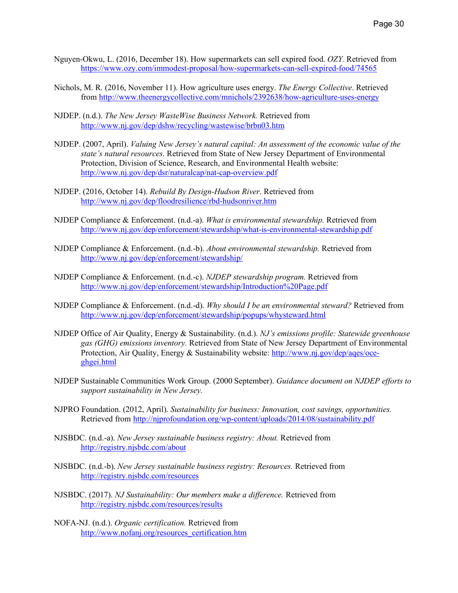- Nguyen-Okwu, L. (2016, December 18). How supermarkets can sell expired food. *OZY.* Retrieved from https://www.ozy.com/immodest-proposal/how-supermarkets-can-sell-expired-food/74565
- Nichols, M. R. (2016, November 11). How agriculture uses energy. *The Energy Collective*. Retrieved from http://www.theenergycollective.com/mnichols/2392638/how-agriculture-uses-energy
- NJDEP. (n.d.). *The New Jersey WasteWise Business Network.* Retrieved from http://www.nj.gov/dep/dshw/recycling/wastewise/brbn03.htm
- NJDEP. (2007, April). *Valuing New Jersey's natural capital: An assessment of the economic value of the state's natural resources.* Retrieved from State of New Jersey Department of Environmental Protection, Division of Science, Research, and Environmental Health website: http://www.nj.gov/dep/dsr/naturalcap/nat-cap-overview.pdf
- NJDEP. (2016, October 14). *Rebuild By Design-Hudson River*. Retrieved from http://www.nj.gov/dep/floodresilience/rbd-hudsonriver.htm
- NJDEP Compliance & Enforcement. (n.d.-a). *What is environmental stewardship.* Retrieved from http://www.nj.gov/dep/enforcement/stewardship/what-is-environmental-stewardship.pdf
- NJDEP Compliance & Enforcement. (n.d.-b). *About environmental stewardship.* Retrieved from http://www.nj.gov/dep/enforcement/stewardship/
- NJDEP Compliance & Enforcement. (n.d.-c). *NJDEP stewardship program.* Retrieved from http://www.nj.gov/dep/enforcement/stewardship/Introduction%20Page.pdf
- NJDEP Compliance & Enforcement. (n.d.-d). *Why should I be an environmental steward?* Retrieved from http://www.nj.gov/dep/enforcement/stewardship/popups/whysteward.html
- NJDEP Office of Air Quality, Energy & Sustainability. (n.d.). *NJ's emissions profile: Statewide greenhouse gas (GHG) emissions inventory.* Retrieved from State of New Jersey Department of Environmental Protection, Air Quality, Energy & Sustainability website: http://www.nj.gov/dep/aqes/oceghgei.html
- NJDEP Sustainable Communities Work Group. (2000 September). *Guidance document on NJDEP efforts to support sustainability in New Jersey.*
- NJPRO Foundation. (2012, April). *Sustainability for business: Innovation, cost savings, opportunities.*  Retrieved from http://njprofoundation.org/wp-content/uploads/2014/08/sustainability.pdf
- NJSBDC. (n.d.-a). *New Jersey sustainable business registry: About.* Retrieved from http://registry.njsbdc.com/about
- NJSBDC. (n.d.-b). *New Jersey sustainable business registry: Resources.* Retrieved from http://registry.njsbdc.com/resources
- NJSBDC. (2017). *NJ Sustainability: Our members make a difference.* Retrieved from http://registry.njsbdc.com/resources/results
- NOFA-NJ. (n.d.). *Organic certification.* Retrieved from http://www.nofanj.org/resources\_certification.htm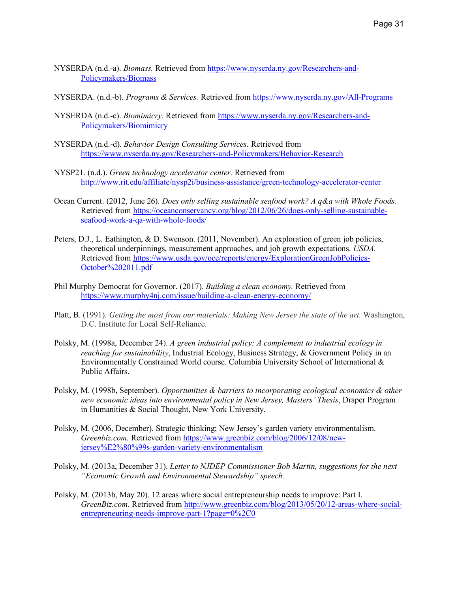- NYSERDA (n.d.-a). *Biomass.* Retrieved from https://www.nyserda.ny.gov/Researchers-and-Policymakers/Biomass
- NYSERDA. (n.d.-b). *Programs & Services.* Retrieved from https://www.nyserda.ny.gov/All-Programs
- NYSERDA (n.d.-c). *Biomimicry.* Retrieved from https://www.nyserda.ny.gov/Researchers-and-Policymakers/Biomimicry
- NYSERDA (n.d.-d). *Behavior Design Consulting Services.* Retrieved from https://www.nyserda.ny.gov/Researchers-and-Policymakers/Behavior-Research
- NYSP21. (n.d.). *Green technology accelerator center.* Retrieved from http://www.rit.edu/affiliate/nysp2i/business-assistance/green-technology-accelerator-center
- Ocean Current. (2012, June 26). *Does only selling sustainable seafood work? A q&a with Whole Foods.*  Retrieved from https://oceanconservancy.org/blog/2012/06/26/does-only-selling-sustainableseafood-work-a-qa-with-whole-foods/
- Peters, D.J., L. Eathington, & D. Swenson. (2011, November). An exploration of green job policies, theoretical underpinnings, measurement approaches, and job growth expectations. *USDA.* Retrieved from https://www.usda.gov/oce/reports/energy/ExplorationGreenJobPolicies-October%202011.pdf
- Phil Murphy Democrat for Governor. (2017). *Building a clean economy.* Retrieved from https://www.murphy4nj.com/issue/building-a-clean-energy-economy/
- Platt, B. (1991). *Getting the most from our materials: Making New Jersey the state of the art.* Washington, D.C. Institute for Local Self-Reliance.
- Polsky, M. (1998a, December 24). *A green industrial policy: A complement to industrial ecology in reaching for sustainability*, Industrial Ecology, Business Strategy, & Government Policy in an Environmentally Constrained World course. Columbia University School of International & Public Affairs.
- Polsky, M. (1998b, September). *Opportunities & barriers to incorporating ecological economics & other new economic ideas into environmental policy in New Jersey, Masters' Thesis*, Draper Program in Humanities & Social Thought, New York University.
- Polsky, M. (2006, December). Strategic thinking; New Jersey's garden variety environmentalism. *Greenbiz.com.* Retrieved from https://www.greenbiz.com/blog/2006/12/08/newjersey%E2%80%99s-garden-variety-environmentalism
- Polsky, M. (2013a, December 31). *Letter to NJDEP Commissioner Bob Martin, suggestions for the next "Economic Growth and Environmental Stewardship" speech.*
- Polsky, M. (2013b, May 20). 12 areas where social entrepreneurship needs to improve: Part I. *GreenBiz.com*. Retrieved from http://www.greenbiz.com/blog/2013/05/20/12-areas-where-socialentrepreneuring-needs-improve-part-1?page=0%2C0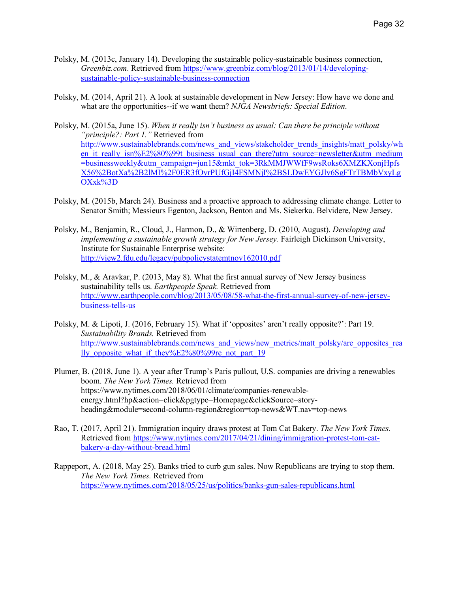- Polsky, M. (2013c, January 14). Developing the sustainable policy-sustainable business connection, *Greenbiz.com*. Retrieved from https://www.greenbiz.com/blog/2013/01/14/developingsustainable-policy-sustainable-business-connection
- Polsky, M. (2014, April 21). A look at sustainable development in New Jersey: How have we done and what are the opportunities--if we want them? *NJGA Newsbriefs: Special Edition*.
- Polsky, M. (2015a, June 15). *When it really isn't business as usual: Can there be principle without "principle?: Part 1."* Retrieved from http://www.sustainablebrands.com/news\_and\_views/stakeholder\_trends\_insights/matt\_polsky/wh en\_it\_really\_isn%E2%80%99t\_business\_usual\_can\_there?utm\_source=newsletter&utm\_medium =businessweekly&utm\_campaign=jun15&mkt\_tok=3RkMMJWWfF9wsRoks6XMZKXonjHpfs X56%2BotXa%2B2lMI%2F0ER3fOvrPUfGjI4FSMNjI%2BSLDwEYGJlv6SgFTrTBMbVxyLg OXxk%3D
- Polsky, M. (2015b, March 24). Business and a proactive approach to addressing climate change. Letter to Senator Smith; Messieurs Egenton, Jackson, Benton and Ms. Siekerka. Belvidere, New Jersey.
- Polsky, M., Benjamin, R., Cloud, J., Harmon, D., & Wirtenberg, D. (2010, August). *Developing and implementing a sustainable growth strategy for New Jersey.* Fairleigh Dickinson University, Institute for Sustainable Enterprise website: http://view2.fdu.edu/legacy/pubpolicystatemtnov162010.pdf
- Polsky, M., & Aravkar, P. (2013, May 8). What the first annual survey of New Jersey business sustainability tells us. *Earthpeople Speak.* Retrieved from http://www.earthpeople.com/blog/2013/05/08/58-what-the-first-annual-survey-of-new-jerseybusiness-tells-us
- Polsky, M. & Lipoti, J. (2016, February 15). What if 'opposites' aren't really opposite?': Part 19. *Sustainability Brands.* Retrieved from http://www.sustainablebrands.com/news\_and\_views/new\_metrics/matt\_polsky/are\_opposites\_rea lly opposite what if they%E2%80%99re not part 19
- Plumer, B. (2018, June 1). A year after Trump's Paris pullout, U.S. companies are driving a renewables boom. *The New York Times.* Retrieved from https://www.nytimes.com/2018/06/01/climate/companies-renewableenergy.html?hp&action=click&pgtype=Homepage&clickSource=storyheading&module=second-column-region&region=top-news&WT.nav=top-news
- Rao, T. (2017, April 21). Immigration inquiry draws protest at Tom Cat Bakery. *The New York Times.* Retrieved from https://www.nytimes.com/2017/04/21/dining/immigration-protest-tom-catbakery-a-day-without-bread.html
- Rappeport, A. (2018, May 25). Banks tried to curb gun sales. Now Republicans are trying to stop them. *The New York Times.* Retrieved from https://www.nytimes.com/2018/05/25/us/politics/banks-gun-sales-republicans.html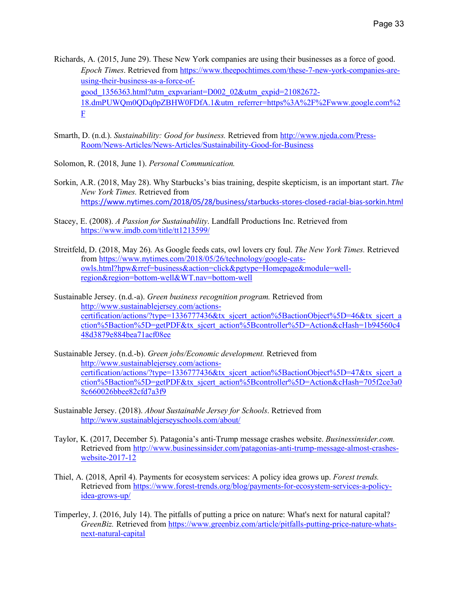- Richards, A. (2015, June 29). These New York companies are using their businesses as a force of good. *Epoch Times*. Retrieved from https://www.theepochtimes.com/these-7-new-york-companies-areusing-their-business-as-a-force-ofgood\_1356363.html?utm\_expvariant=D002\_02&utm\_expid=21082672- 18.dmPUWQm0QDq0pZBHW0FDfA.1&utm\_referrer=https%3A%2F%2Fwww.google.com%2 F
- Smarth, D. (n.d.). *Sustainability: Good for business.* Retrieved from http://www.njeda.com/Press-Room/News-Articles/News-Articles/Sustainability-Good-for-Business
- Solomon, R. (2018, June 1). *Personal Communication.*
- Sorkin, A.R. (2018, May 28). Why Starbucks's bias training, despite skepticism, is an important start. *The New York Times.* Retrieved from https://www.nytimes.com/2018/05/28/business/starbucks-stores-closed-racial-bias-sorkin.html
- Stacey, E. (2008). *A Passion for Sustainability*. Landfall Productions Inc. Retrieved from https://www.imdb.com/title/tt1213599/
- Streitfeld, D. (2018, May 26). As Google feeds cats, owl lovers cry foul. *The New York Times.* Retrieved from https://www.nytimes.com/2018/05/26/technology/google-catsowls.html?hpw&rref=business&action=click&pgtype=Homepage&module=wellregion&region=bottom-well&WT.nav=bottom-well

Sustainable Jersey. (n.d.-a). *Green business recognition program.* Retrieved from http://www.sustainablejersey.com/actionscertification/actions/?type=1336777436&tx\_sjcert\_action%5BactionObject%5D=46&tx\_sjcert\_a ction%5Baction%5D=getPDF&tx\_sjcert\_action%5Bcontroller%5D=Action&cHash=1b94560c4 48d3879e884bea71acf08ee

Sustainable Jersey. (n.d.-b). *Green jobs/Economic development.* Retrieved from http://www.sustainablejersey.com/actionscertification/actions/?type=1336777436&tx\_sjcert\_action%5BactionObject%5D=47&tx\_sjcert\_a ction%5Baction%5D=getPDF&tx\_sjcert\_action%5Bcontroller%5D=Action&cHash=705f2ce3a0 8c660026bbee82cfd7a3f9

- Sustainable Jersey. (2018). *About Sustainable Jersey for Schools*. Retrieved from http://www.sustainablejerseyschools.com/about/
- Taylor, K. (2017, December 5). Patagonia's anti-Trump message crashes website. *Businessinsider.com.* Retrieved from http://www.businessinsider.com/patagonias-anti-trump-message-almost-crasheswebsite-2017-12
- Thiel, A. (2018, April 4). Payments for ecosystem services: A policy idea grows up. *Forest trends.* Retrieved from https://www.forest-trends.org/blog/payments-for-ecosystem-services-a-policyidea-grows-up/
- Timperley, J. (2016, July 14). The pitfalls of putting a price on nature: What's next for natural capital? *GreenBiz.* Retrieved from https://www.greenbiz.com/article/pitfalls-putting-price-nature-whatsnext-natural-capital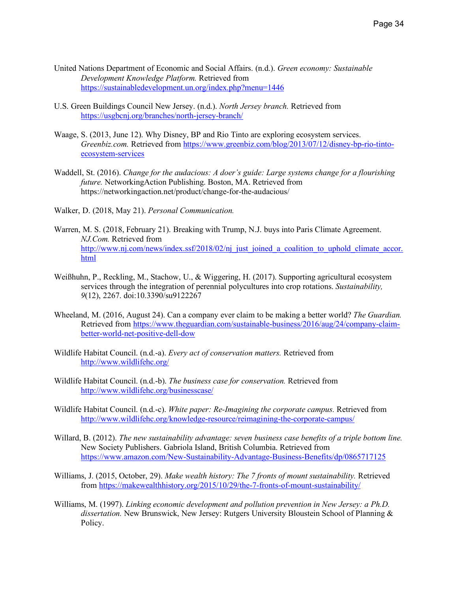- United Nations Department of Economic and Social Affairs. (n.d.). *Green economy: Sustainable Development Knowledge Platform.* Retrieved from https://sustainabledevelopment.un.org/index.php?menu=1446
- U.S. Green Buildings Council New Jersey. (n.d.). *North Jersey branch.* Retrieved from https://usgbcnj.org/branches/north-jersey-branch/
- Waage, S. (2013, June 12). Why Disney, BP and Rio Tinto are exploring ecosystem services. *Greenbiz.com.* Retrieved from https://www.greenbiz.com/blog/2013/07/12/disney-bp-rio-tintoecosystem-services
- Waddell, St. (2016). *Change for the audacious: A doer's guide: Large systems change for a flourishing future.* NetworkingAction Publishing. Boston, MA. Retrieved from https://networkingaction.net/product/change-for-the-audacious/
- Walker, D. (2018, May 21). *Personal Communication.*
- Warren, M. S. (2018, February 21). Breaking with Trump, N.J. buys into Paris Climate Agreement. *NJ.Com.* Retrieved from http://www.nj.com/news/index.ssf/2018/02/nj\_just\_joined\_a\_coalition\_to\_uphold\_climate\_accor. html
- Weißhuhn, P., Reckling, M., Stachow, U., & Wiggering, H. (2017). Supporting agricultural ecosystem services through the integration of perennial polycultures into crop rotations. *Sustainability, 9*(12), 2267. doi:10.3390/su9122267
- Wheeland, M. (2016, August 24). Can a company ever claim to be making a better world? *The Guardian.* Retrieved from https://www.theguardian.com/sustainable-business/2016/aug/24/company-claimbetter-world-net-positive-dell-dow
- Wildlife Habitat Council. (n.d.-a). *Every act of conservation matters.* Retrieved from http://www.wildlifehc.org/
- Wildlife Habitat Council. (n.d.-b). *The business case for conservation.* Retrieved from http://www.wildlifehc.org/businesscase/
- Wildlife Habitat Council. (n.d.-c). *White paper: Re-Imagining the corporate campus.* Retrieved from http://www.wildlifehc.org/knowledge-resource/reimagining-the-corporate-campus/
- Willard, B. (2012). *The new sustainability advantage: seven business case benefits of a triple bottom line.*  New Society Publishers. Gabriola Island, British Columbia. Retrieved from https://www.amazon.com/New-Sustainability-Advantage-Business-Benefits/dp/0865717125
- Williams, J. (2015, October, 29). *Make wealth history: The 7 fronts of mount sustainability.* Retrieved from https://makewealthhistory.org/2015/10/29/the-7-fronts-of-mount-sustainability/
- Williams, M. (1997). *Linking economic development and pollution prevention in New Jersey: a Ph.D. dissertation.* New Brunswick, New Jersey: Rutgers University Bloustein School of Planning & Policy.